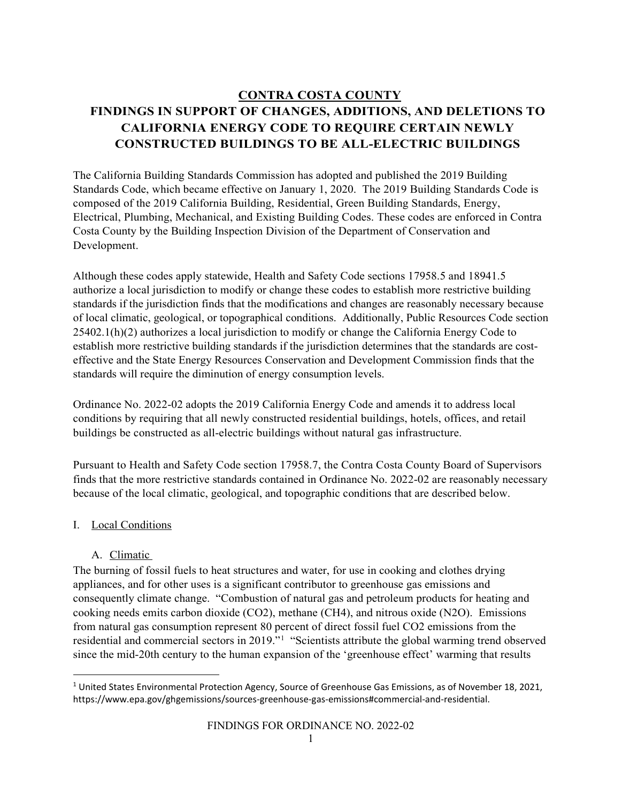# **CONTRA COSTA COUNTY FINDINGS IN SUPPORT OF CHANGES, ADDITIONS, AND DELETIONS TO CALIFORNIA ENERGY CODE TO REQUIRE CERTAIN NEWLY CONSTRUCTED BUILDINGS TO BE ALL-ELECTRIC BUILDINGS**

The California Building Standards Commission has adopted and published the 2019 Building Standards Code, which became effective on January 1, 2020. The 2019 Building Standards Code is composed of the 2019 California Building, Residential, Green Building Standards, Energy, Electrical, Plumbing, Mechanical, and Existing Building Codes. These codes are enforced in Contra Costa County by the Building Inspection Division of the Department of Conservation and Development.

Although these codes apply statewide, Health and Safety Code sections 17958.5 and 18941.5 authorize a local jurisdiction to modify or change these codes to establish more restrictive building standards if the jurisdiction finds that the modifications and changes are reasonably necessary because of local climatic, geological, or topographical conditions. Additionally, Public Resources Code section 25402.1(h)(2) authorizes a local jurisdiction to modify or change the California Energy Code to establish more restrictive building standards if the jurisdiction determines that the standards are costeffective and the State Energy Resources Conservation and Development Commission finds that the standards will require the diminution of energy consumption levels.

Ordinance No. 2022-02 adopts the 2019 California Energy Code and amends it to address local conditions by requiring that all newly constructed residential buildings, hotels, offices, and retail buildings be constructed as all-electric buildings without natural gas infrastructure.

Pursuant to Health and Safety Code section 17958.7, the Contra Costa County Board of Supervisors finds that the more restrictive standards contained in Ordinance No. 2022-02 are reasonably necessary because of the local climatic, geological, and topographic conditions that are described below.

## I. Local Conditions

## A. Climatic

The burning of fossil fuels to heat structures and water, for use in cooking and clothes drying appliances, and for other uses is a significant contributor to greenhouse gas emissions and consequently climate change. "Combustion of natural gas and petroleum products for heating and cooking needs emits carbon dioxide (CO2), methane (CH4), and nitrous oxide (N2O). Emissions from natural gas consumption represent 80 percent of direct fossil fuel CO2 emissions from the residential and commercial sectors in 20[1](#page-0-0)9."<sup>1</sup> "Scientists attribute the global warming trend observed since the mid‐20th century to the human expansion of the 'greenhouse effect' warming that results

<span id="page-0-0"></span><sup>&</sup>lt;sup>1</sup> United States Environmental Protection Agency, Source of Greenhouse Gas Emissions, as of November 18, 2021, https://www.epa.gov/ghgemissions/sources-greenhouse-gas-emissions#commercial-and-residential.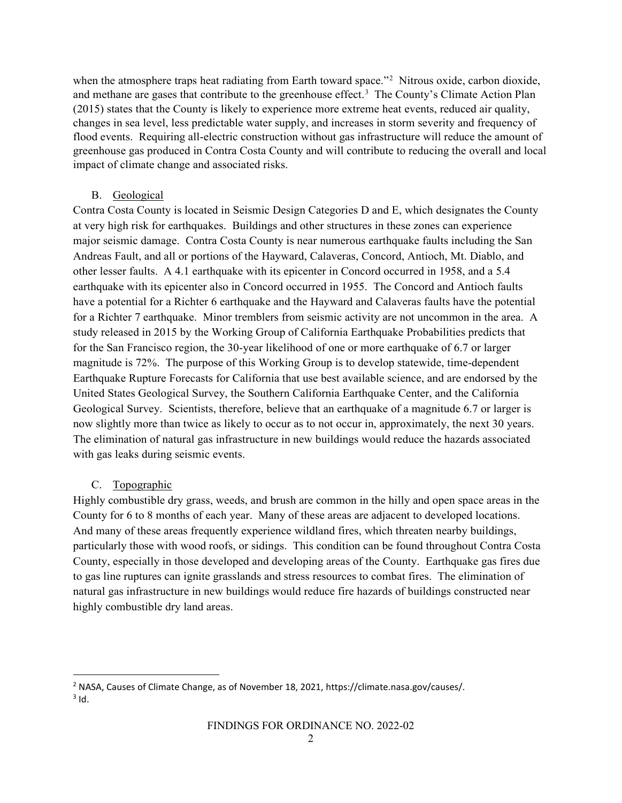when the atmosphere traps heat radiating from Earth toward space."<sup>[2](#page-1-0)</sup> Nitrous oxide, carbon dioxide, and methane are gases that contribute to the greenhouse effect.<sup>[3](#page-1-1)</sup> The County's Climate Action Plan (2015) states that the County is likely to experience more extreme heat events, reduced air quality, changes in sea level, less predictable water supply, and increases in storm severity and frequency of flood events. Requiring all-electric construction without gas infrastructure will reduce the amount of greenhouse gas produced in Contra Costa County and will contribute to reducing the overall and local impact of climate change and associated risks.

#### B. Geological

Contra Costa County is located in Seismic Design Categories D and E, which designates the County at very high risk for earthquakes. Buildings and other structures in these zones can experience major seismic damage. Contra Costa County is near numerous earthquake faults including the San Andreas Fault, and all or portions of the Hayward, Calaveras, Concord, Antioch, Mt. Diablo, and other lesser faults. A 4.1 earthquake with its epicenter in Concord occurred in 1958, and a 5.4 earthquake with its epicenter also in Concord occurred in 1955. The Concord and Antioch faults have a potential for a Richter 6 earthquake and the Hayward and Calaveras faults have the potential for a Richter 7 earthquake. Minor tremblers from seismic activity are not uncommon in the area. A study released in 2015 by the Working Group of California Earthquake Probabilities predicts that for the San Francisco region, the 30-year likelihood of one or more earthquake of 6.7 or larger magnitude is 72%. The purpose of this Working Group is to develop statewide, time-dependent Earthquake Rupture Forecasts for California that use best available science, and are endorsed by the United States Geological Survey, the Southern California Earthquake Center, and the California Geological Survey. Scientists, therefore, believe that an earthquake of a magnitude 6.7 or larger is now slightly more than twice as likely to occur as to not occur in, approximately, the next 30 years. The elimination of natural gas infrastructure in new buildings would reduce the hazards associated with gas leaks during seismic events.

### C. Topographic

Highly combustible dry grass, weeds, and brush are common in the hilly and open space areas in the County for 6 to 8 months of each year. Many of these areas are adjacent to developed locations. And many of these areas frequently experience wildland fires, which threaten nearby buildings, particularly those with wood roofs, or sidings. This condition can be found throughout Contra Costa County, especially in those developed and developing areas of the County. Earthquake gas fires due to gas line ruptures can ignite grasslands and stress resources to combat fires. The elimination of natural gas infrastructure in new buildings would reduce fire hazards of buildings constructed near highly combustible dry land areas.

<span id="page-1-1"></span><span id="page-1-0"></span><sup>2</sup> NASA, Causes of Climate Change, as of November 18, 2021, https://climate.nasa.gov/causes/.  $3$  Id.